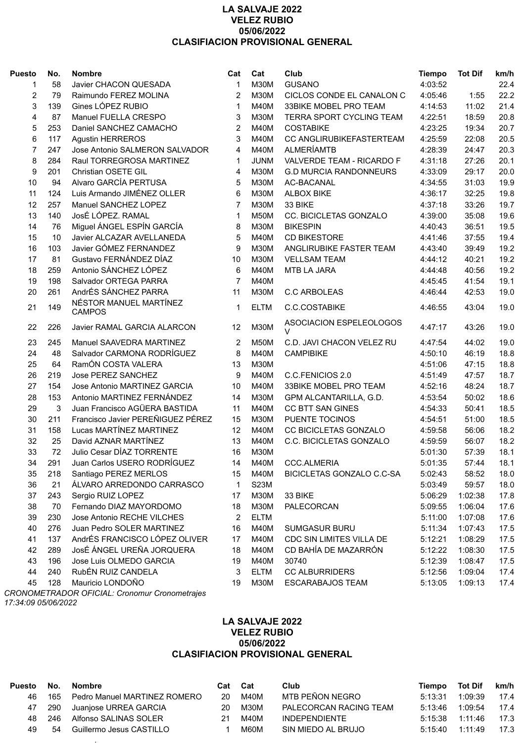## **LA SALVAJE 2022 VELEZ RUBIO 05/06/2022 CLASIFIACION PROVISIONAL GENERAL**

| <b>Puesto</b>  | No. | <b>Nombre</b>                           | Cat            | Cat         | Club                          | <b>Tiempo</b> | <b>Tot Dif</b> | km/h |
|----------------|-----|-----------------------------------------|----------------|-------------|-------------------------------|---------------|----------------|------|
| 1              | 58  | Javier CHACON QUESADA                   | $\mathbf{1}$   | <b>M30M</b> | <b>GUSANO</b>                 | 4:03:52       |                | 22.4 |
| 2              | 79  | Raimundo FEREZ MOLINA                   | 2              | <b>M30M</b> | CICLOS CONDE EL CANALON C     | 4:05:46       | 1:55           | 22.2 |
| 3              | 139 | Gines LÓPEZ RUBIO                       | 1              | <b>M40M</b> | 33BIKE MOBEL PRO TEAM         | 4:14:53       | 11:02          | 21.4 |
| 4              | 87  | Manuel FUELLA CRESPO                    | 3              | <b>M30M</b> | TERRA SPORT CYCLING TEAM      | 4:22:51       | 18:59          | 20.8 |
| 5              | 253 | Daniel SANCHEZ CAMACHO                  | $\overline{2}$ | <b>M40M</b> | <b>COSTABIKE</b>              | 4:23:25       | 19:34          | 20.7 |
| 6              | 117 | <b>Agustin HERREROS</b>                 | 3              | <b>M40M</b> | CC ANGLIRUBIKEFASTERTEAM      | 4:25:59       | 22:08          | 20.5 |
| $\overline{7}$ | 247 | Jose Antonio SALMERON SALVADOR          | 4              | <b>M40M</b> | <b>ALMERÍAMTB</b>             | 4:28:39       | 24:47          | 20.3 |
| 8              | 284 | Raul TORREGROSA MARTINEZ                | 1              | <b>JUNM</b> | VALVERDE TEAM - RICARDO F     | 4:31:18       | 27:26          | 20.1 |
| 9              | 201 | Christian OSETE GIL                     | 4              | <b>M30M</b> | <b>G.D MURCIA RANDONNEURS</b> | 4:33:09       | 29:17          | 20.0 |
| 10             | 94  | Alvaro GARCÍA PERTUSA                   | 5              | <b>M30M</b> | AC-BACANAL                    | 4:34:55       | 31:03          | 19.9 |
| 11             | 124 | Luis Armando JIMÉNEZ OLLER              | 6              | <b>M30M</b> | <b>ALBOX BIKE</b>             | 4:36:17       | 32:25          | 19.8 |
| 12             | 257 | Manuel SANCHEZ LOPEZ                    | $\overline{7}$ | <b>M30M</b> | 33 BIKE                       | 4:37:18       | 33:26          | 19.7 |
| 13             | 140 | JosÉ LÓPEZ. RAMAL                       | $\mathbf 1$    | M50M        | CC. BICICLETAS GONZALO        | 4:39:00       | 35:08          | 19.6 |
| 14             | 76  | Miguel ÁNGEL ESPÍN GARCÍA               | 8              | <b>M30M</b> | <b>BIKESPIN</b>               | 4:40:43       | 36:51          | 19.5 |
| 15             | 10  | Javier ALCAZAR AVELLANEDA               | 5              | <b>M40M</b> | <b>CD BIKESTORE</b>           | 4:41:46       | 37:55          | 19.4 |
| 16             | 103 | Javier GÓMEZ FERNANDEZ                  | 9              | <b>M30M</b> | ANGLIRUBIKE FASTER TEAM       | 4:43:40       | 39:49          | 19.2 |
| 17             | 81  | Gustavo FERNÁNDEZ DÍAZ                  | 10             | <b>M30M</b> | <b>VELLSAM TEAM</b>           | 4:44:12       | 40:21          | 19.2 |
| 18             | 259 | Antonio SÁNCHEZ LÓPEZ                   | 6              | <b>M40M</b> | MTB LA JARA                   | 4:44:48       | 40:56          | 19.2 |
| 19             | 198 | Salvador ORTEGA PARRA                   | $\overline{7}$ | <b>M40M</b> |                               | 4:45:45       | 41:54          | 19.1 |
| 20             | 261 | AndrÉS SÁNCHEZ PARRA                    | 11             | <b>M30M</b> | <b>C.C ARBOLEAS</b>           | 4:46:44       | 42:53          | 19.0 |
| 21             | 149 | NÉSTOR MANUEL MARTÍNEZ<br><b>CAMPOS</b> | $\mathbf 1$    | <b>ELTM</b> | C.C.COSTABIKE                 | 4:46:55       | 43:04          | 19.0 |
| 22             | 226 | Javier RAMAL GARCIA ALARCON             | 12             | <b>M30M</b> | ASOCIACION ESPELEOLOGOS<br>V  | 4:47:17       | 43:26          | 19.0 |
| 23             | 245 | Manuel SAAVEDRA MARTINEZ                | 2              | M50M        | C.D. JAVI CHACON VELEZ RU     | 4:47:54       | 44:02          | 19.0 |
| 24             | 48  | Salvador CARMONA RODRÍGUEZ              | 8              | M40M        | <b>CAMPIBIKE</b>              | 4:50:10       | 46:19          | 18.8 |
| 25             | 64  | RamÓN COSTA VALERA                      | 13             | <b>M30M</b> |                               | 4:51:06       | 47:15          | 18.8 |
| 26             | 219 | Jose PEREZ SANCHEZ                      | 9              | <b>M40M</b> | C.C.FENICIOS 2.0              | 4:51:49       | 47:57          | 18.7 |
| 27             | 154 | Jose Antonio MARTINEZ GARCIA            | 10             | <b>M40M</b> | 33BIKE MOBEL PRO TEAM         | 4:52:16       | 48:24          | 18.7 |
| 28             | 153 | Antonio MARTINEZ FERNÁNDEZ              | 14             | <b>M30M</b> | GPM ALCANTARILLA, G.D.        | 4:53:54       | 50:02          | 18.6 |
| 29             | 3   | Juan Francisco AGÜERA BASTIDA           | 11             | <b>M40M</b> | <b>CC BTT SAN GINES</b>       | 4:54:33       | 50:41          | 18.5 |
| 30             | 211 | Francisco Javier PEREÑIGUEZ PÉREZ       | 15             | <b>M30M</b> | PUENTE TOCINOS                | 4:54:51       | 51:00          | 18.5 |
| 31             | 158 | Lucas MARTÍNEZ MARTINEZ                 | 12             | M40M        | CC BICICLETAS GONZALO         | 4:59:58       | 56:06          | 18.2 |
| 32             | 25  | David AZNAR MARTÍNEZ                    | 13             | M40M        | C.C. BICICLETAS GONZALO       | 4:59:59       | 56:07          | 18.2 |
| 33             | 72  | Julio Cesar DÍAZ TORRENTE               | 16             | <b>M30M</b> |                               | 5:01:30       | 57:39          | 18.1 |
| 34             | 291 | Juan Carlos USERO RODRÍGUEZ             | 14             | M40M        | <b>CCC.ALMERIA</b>            | 5:01:35       | 57:44          | 18.1 |
| 35             | 218 | Santiago PEREZ MERLOS                   | 15             | M40M        | BICICLETAS GONZALO C.C-SA     | 5:02:43       | 58:52          | 18.0 |
| 36             | 21  | ÁLVARO ARREDONDO CARRASCO               | 1              | S23M        |                               | 5:03:49       | 59:57          | 18.0 |
| 37             | 243 | Sergio RUIZ LOPEZ                       | 17             | <b>M30M</b> | 33 BIKE                       | 5:06:29       | 1:02:38        | 17.8 |
| 38             | 70  | Fernando DIAZ MAYORDOMO                 | 18             | <b>M30M</b> | PALECORCAN                    | 5:09:55       | 1:06:04        | 17.6 |
| 39             | 230 | Jose Antonio RECHE VILCHES              | 2              | <b>ELTM</b> |                               | 5:11:00       | 1:07:08        | 17.6 |
| 40             | 276 | Juan Pedro SOLER MARTINEZ               | 16             | M40M        | <b>SUMGASUR BURU</b>          | 5:11:34       | 1:07:43        | 17.5 |
| 41             | 137 | AndrÉS FRANCISCO LÓPEZ OLIVER           | 17             | M40M        | CDC SIN LIMITES VILLA DE      | 5:12:21       | 1:08:29        | 17.5 |
| 42             | 289 | JosÉ ÁNGEL UREÑA JORQUERA               | 18             | M40M        | CD BAHÍA DE MAZARRÓN          | 5:12:22       | 1:08:30        | 17.5 |
| 43             | 196 | Jose Luis OLMEDO GARCIA                 | 19             | M40M        | 30740                         | 5:12:39       | 1:08:47        | 17.5 |
| 44             | 240 | RubÉN RUIZ CANDELA                      | 3              | <b>ELTM</b> | <b>CC ALBURRIDERS</b>         | 5:12:56       | 1:09:04        | 17.4 |
| 45             | 128 | Mauricio LONDOÑO                        | 19             | M30M        | <b>ESCARABAJOS TEAM</b>       | 5:13:05       | 1:09:13        | 17.4 |

*CRONOMETRADOR OFICIAL: Cronomur Cronometrajes 17:34:09 05/06/2022*

## **LA SALVAJE 2022 VELEZ RUBIO 05/06/2022 CLASIFIACION PROVISIONAL GENERAL**

| Puesto | No.    | <b>Nombre</b>                | Cat | Cat  | Club                   | Tiempo  | <b>Tot Dif</b> | km/h |
|--------|--------|------------------------------|-----|------|------------------------|---------|----------------|------|
| 46     | 165    | Pedro Manuel MARTINEZ ROMERO | 20  | M40M | MTB PEÑON NEGRO        | 5:13:31 | 1:09:39        | 17.4 |
|        | 47 290 | Juanjose URREA GARCIA        | 20  | M30M | PALECORCAN RACING TEAM | 5:13:46 | 1:09:54        | 17.4 |
| 48.    | -246   | Alfonso SALINAS SOLER        | 21  | M40M | <b>INDEPENDIENTE</b>   | 5:15:38 | 1:11:46        | 17.3 |
| 49.    | .54    | Guillermo Jesus CASTILLO     |     | M60M | SIN MIEDO AL BRUJO     | 5:15:40 | 1.11.49        | 17.3 |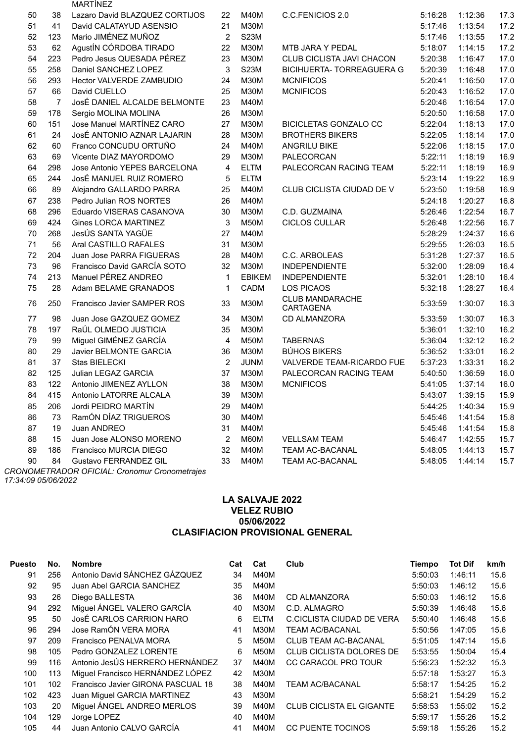|    |     | <b>MARTÍNEZ</b>                |                |               |                                            |         |         |      |
|----|-----|--------------------------------|----------------|---------------|--------------------------------------------|---------|---------|------|
| 50 | 38  | Lazaro David BLAZQUEZ CORTIJOS | 22             | M40M          | C.C.FENICIOS 2.0                           | 5:16:28 | 1:12:36 | 17.3 |
| 51 | 41  | David CALATAYUD ASENSIO        | 21             | <b>M30M</b>   |                                            | 5:17:46 | 1:13:54 | 17.2 |
| 52 | 123 | Mario JIMÉNEZ MUÑOZ            | $\overline{2}$ | <b>S23M</b>   |                                            | 5:17:46 | 1:13:55 | 17.2 |
| 53 | 62  | AgustÍN CÓRDOBA TIRADO         | 22             | <b>M30M</b>   | MTB JARA Y PEDAL                           | 5:18:07 | 1:14:15 | 17.2 |
| 54 | 223 | Pedro Jesus QUESADA PÉREZ      | 23             | <b>M30M</b>   | CLUB CICLISTA JAVI CHACON                  | 5:20:38 | 1:16:47 | 17.0 |
| 55 | 258 | Daniel SANCHEZ LOPEZ           | 3              | <b>S23M</b>   | <b>BICIHUERTA- TORREAGUERA G</b>           | 5:20:39 | 1:16:48 | 17.0 |
| 56 | 293 | Hector VALVERDE ZAMBUDIO       | 24             | <b>M30M</b>   | <b>MCNIFICOS</b>                           | 5:20:41 | 1:16:50 | 17.0 |
| 57 | 66  | David CUELLO                   | 25             | <b>M30M</b>   | <b>MCNIFICOS</b>                           | 5:20:43 | 1:16:52 | 17.0 |
| 58 | 7   | JosÉ DANIEL ALCALDE BELMONTE   | 23             | M40M          |                                            | 5:20:46 | 1:16:54 | 17.0 |
| 59 | 178 | Sergio MOLINA MOLINA           | 26             | <b>M30M</b>   |                                            | 5:20:50 | 1:16:58 | 17.0 |
| 60 | 151 | Jose Manuel MARTÍNEZ CARO      | 27             | <b>M30M</b>   | <b>BICICLETAS GONZALO CC</b>               | 5:22:04 | 1:18:13 | 17.0 |
| 61 | 24  | JosÉ ANTONIO AZNAR LAJARIN     | 28             | <b>M30M</b>   | <b>BROTHERS BIKERS</b>                     | 5:22:05 | 1:18:14 | 17.0 |
| 62 | 60  | Franco CONCUDU ORTUÑO          | 24             | M40M          | <b>ANGRILU BIKE</b>                        | 5:22:06 | 1:18:15 | 17.0 |
| 63 | 69  | Vicente DIAZ MAYORDOMO         | 29             | <b>M30M</b>   | PALECORCAN                                 | 5:22:11 | 1:18:19 | 16.9 |
| 64 | 298 | Jose Antonio YEPES BARCELONA   | 4              | <b>ELTM</b>   | PALECORCAN RACING TEAM                     | 5:22:11 | 1:18:19 | 16.9 |
| 65 | 244 | JosÉ MANUEL RUIZ ROMERO        | 5              | <b>ELTM</b>   |                                            | 5:23:14 | 1:19:22 | 16.9 |
| 66 | 89  | Alejandro GALLARDO PARRA       | 25             | M40M          | CLUB CICLISTA CIUDAD DE V                  | 5:23:50 | 1:19:58 | 16.9 |
| 67 | 238 | Pedro Julian ROS NORTES        | 26             | M40M          |                                            | 5:24:18 | 1:20:27 | 16.8 |
| 68 | 296 | Eduardo VISERAS CASANOVA       | 30             | <b>M30M</b>   | C.D. GUZMAINA                              | 5:26:46 | 1:22:54 | 16.7 |
| 69 | 424 | <b>Gines LORCA MARTINEZ</b>    | 3              | M50M          | <b>CICLOS CULLAR</b>                       | 5:26:48 | 1:22:56 | 16.7 |
| 70 | 268 | JesÚS SANTA YAGÜE              | 27             | <b>M40M</b>   |                                            | 5:28:29 | 1:24:37 | 16.6 |
| 71 | 56  | Aral CASTILLO RAFALES          | 31             | <b>M30M</b>   |                                            | 5:29:55 | 1:26:03 | 16.5 |
| 72 | 204 | Juan Jose PARRA FIGUERAS       | 28             | M40M          | C.C. ARBOLEAS                              | 5:31:28 | 1:27:37 | 16.5 |
| 73 | 96  | Francisco David GARCÍA SOTO    | 32             | <b>M30M</b>   | <b>INDEPENDIENTE</b>                       | 5:32:00 | 1:28:09 | 16.4 |
| 74 | 213 | Manuel PÉREZ ANDREO            | $\mathbf 1$    | <b>EBIKEM</b> | <b>INDEPENDIENTE</b>                       | 5:32:01 | 1:28:10 | 16.4 |
| 75 | 28  | Adam BELAME GRANADOS           | 1              | CADM          | <b>LOS PICAOS</b>                          | 5:32:18 | 1:28:27 | 16.4 |
| 76 | 250 | Francisco Javier SAMPER ROS    | 33             | <b>M30M</b>   | <b>CLUB MANDARACHE</b><br><b>CARTAGENA</b> | 5:33:59 | 1:30:07 | 16.3 |
| 77 | 98  | Juan Jose GAZQUEZ GOMEZ        | 34             | <b>M30M</b>   | CD ALMANZORA                               | 5:33:59 | 1:30:07 | 16.3 |
| 78 | 197 | RaÚL OLMEDO JUSTICIA           | 35             | <b>M30M</b>   |                                            | 5:36:01 | 1:32:10 | 16.2 |
| 79 | 99  | Miguel GIMÉNEZ GARCÍA          | $\overline{4}$ | <b>M50M</b>   | <b>TABERNAS</b>                            | 5:36:04 | 1:32:12 | 16.2 |
| 80 | 29  | Javier BELMONTE GARCIA         | 36             | <b>M30M</b>   | <b>BÚHOS BIKERS</b>                        | 5:36:52 | 1:33:01 | 16.2 |
| 81 | 37  | Stas BIELECKI                  | $\overline{2}$ | <b>JUNM</b>   | VALVERDE TEAM-RICARDO FUE                  | 5:37:23 | 1:33:31 | 16.2 |
| 82 | 125 | Julian LEGAZ GARCIA            | 37             | <b>M30M</b>   | PALECORCAN RACING TEAM                     | 5:40:50 | 1:36:59 | 16.0 |
| 83 | 122 | Antonio JIMENEZ AYLLON         | 38             | <b>M30M</b>   | <b>MCNIFICOS</b>                           | 5:41:05 | 1:37:14 | 16.0 |
| 84 | 415 | Antonio LATORRE ALCALA         | 39             | <b>M30M</b>   |                                            | 5:43:07 | 1:39:15 | 15.9 |
| 85 | 206 | Jordi PEIDRO MARTÍN            | 29             | M40M          |                                            | 5:44:25 | 1:40:34 | 15.9 |
| 86 | 73  | RamÓN DÍAZ TRIGUEROS           | 30             | <b>M40M</b>   |                                            | 5:45:46 | 1:41:54 | 15.8 |
| 87 | 19  | Juan ANDREO                    | 31             | M40M          |                                            | 5:45:46 | 1:41:54 | 15.8 |
| 88 | 15  | Juan Jose ALONSO MORENO        | $\overline{2}$ | M60M          | <b>VELLSAM TEAM</b>                        | 5:46:47 | 1:42:55 | 15.7 |
| 89 | 186 | Francisco MURCIA DIEGO         | 32             | M40M          | <b>TEAM AC-BACANAL</b>                     | 5:48:05 | 1:44:13 | 15.7 |
| 90 | 84  | Gustavo FERRANDEZ GIL          | 33             | M40M          | <b>TEAM AC-BACANAL</b>                     | 5:48:05 | 1:44:14 | 15.7 |
|    |     |                                |                |               |                                            |         |         |      |

*CRONOMETRADOR OFICIAL: Cronomur Cronometrajes 17:34:09 05/06/2022*

# **LA SALVAJE 2022 VELEZ RUBIO 05/06/2022 CLASIFIACION PROVISIONAL GENERAL**

| <b>Puesto</b> | No. | <b>Nombre</b>                      | Cat | Cat         | Club                            | Tiempo  | <b>Tot Dif</b> | km/h |
|---------------|-----|------------------------------------|-----|-------------|---------------------------------|---------|----------------|------|
| 91            | 256 | Antonio David SÁNCHEZ GÁZQUEZ      | 34  | M40M        |                                 | 5:50:03 | 1:46:11        | 15.6 |
| 92            | 95  | Juan Abel GARCIA SANCHEZ           | 35  | M40M        |                                 | 5:50:03 | 1:46:12        | 15.6 |
| 93            | 26  | Diego BALLESTA                     | 36  | M40M        | CD ALMANZORA                    | 5:50:03 | 1:46:12        | 15.6 |
| 94            | 292 | Miguel ÁNGEL VALERO GARCÍA         | 40  | M30M        | C.D. ALMAGRO                    | 5:50:39 | 1:46:48        | 15.6 |
| 95            | 50  | JosÉ CARLOS CARRION HARO           | 6   | <b>ELTM</b> | C.CICLISTA CIUDAD DE VERA       | 5:50:40 | 1:46:48        | 15.6 |
| 96            | 294 | Jose RamÓN VERA MORA               | 41  | M30M        | <b>TEAM AC/BACANAL</b>          | 5:50:56 | 1:47:05        | 15.6 |
| 97            | 209 | Francisco PENALVA MORA             | 5   | M50M        | <b>CLUB TEAM AC-BACANAL</b>     | 5:51:05 | 1:47:14        | 15.6 |
| 98            | 105 | Pedro GONZALEZ LORENTE             | 6   | M50M        | <b>CLUB CICLISTA DOLORES DE</b> | 5:53:55 | 1:50:04        | 15.4 |
| 99            | 116 | Antonio JesÚS HERRERO HERNÁNDEZ    | 37  | M40M        | <b>CC CARACOL PRO TOUR</b>      | 5:56:23 | 1:52:32        | 15.3 |
| 100           | 113 | Miguel Francisco HERNÁNDEZ LÓPEZ   | 42  | мзом        |                                 | 5:57:18 | 1:53:27        | 15.3 |
| 101           | 102 | Francisco Javier GIRONA PASCUAL 18 | 38  | M40M        | <b>TEAM AC/BACANAL</b>          | 5:58:17 | 1:54:25        | 15.2 |
| 102           | 423 | Juan Miguel GARCIA MARTINEZ        | 43  | M30M        |                                 | 5:58:21 | 1:54:29        | 15.2 |
| 103           | 20  | Miguel ÁNGEL ANDREO MERLOS         | 39  | M40M        | <b>CLUB CICLISTA EL GIGANTE</b> | 5:58:53 | 1:55:02        | 15.2 |
| 104           | 129 | Jorge LOPEZ                        | 40  | M40M        |                                 | 5:59:17 | 1:55:26        | 15.2 |
| 105           | 44  | Juan Antonio CALVO GARCÍA          | 41  | M40M        | <b>CC PUENTE TOCINOS</b>        | 5:59:18 | 1:55:26        | 15.2 |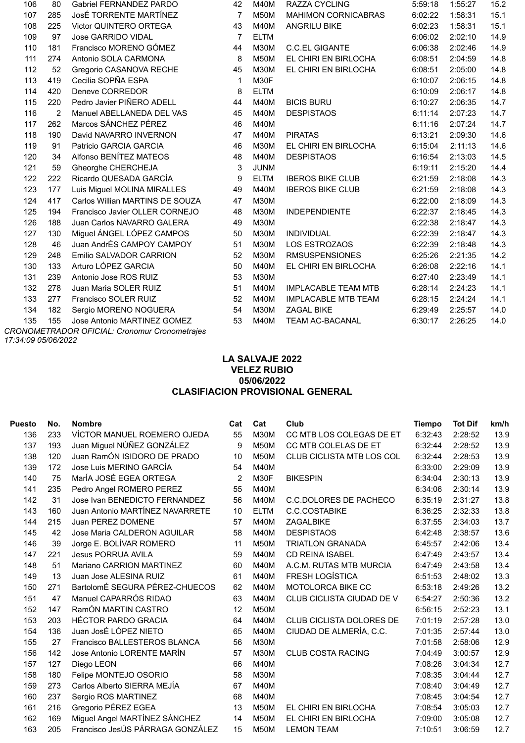| 106 | 80             | <b>Gabriel FERNANDEZ PARDO</b>  | 42             | <b>M40M</b> | <b>RAZZA CYCLING</b>       | 5:59:18 | 1:55:27 | 15.2 |
|-----|----------------|---------------------------------|----------------|-------------|----------------------------|---------|---------|------|
| 107 | 285            | JosÉ TORRENTE MARTÍNEZ          | $\overline{7}$ | M50M        | <b>MAHIMON CORNICABRAS</b> | 6:02:22 | 1:58:31 | 15.1 |
| 108 | 225            | Victor QUINTERO ORTEGA          | 43             | <b>M40M</b> | <b>ANGRILU BIKE</b>        | 6:02:23 | 1:58:31 | 15.1 |
| 109 | 97             | <b>Jose GARRIDO VIDAL</b>       | 7              | <b>ELTM</b> |                            | 6:06:02 | 2:02:10 | 14.9 |
| 110 | 181            | Francisco MORENO GÓMEZ          | 44             | <b>M30M</b> | <b>C.C.EL GIGANTE</b>      | 6:06:38 | 2:02:46 | 14.9 |
| 111 | 274            | Antonio SOLA CARMONA            | 8              | <b>M50M</b> | EL CHIRI EN BIRLOCHA       | 6:08:51 | 2:04:59 | 14.8 |
| 112 | 52             | Gregorio CASANOVA RECHE         | 45             | <b>M30M</b> | EL CHIRI EN BIRLOCHA       | 6:08:51 | 2:05:00 | 14.8 |
| 113 | 419            | Cecilia SOPÑA ESPA              | 1              | M30F        |                            | 6:10:07 | 2:06:15 | 14.8 |
| 114 | 420            | Deneve CORREDOR                 | 8              | <b>ELTM</b> |                            | 6:10:09 | 2:06:17 | 14.8 |
| 115 | 220            | Pedro Javier PIÑERO ADELL       | 44             | M40M        | <b>BICIS BURU</b>          | 6:10:27 | 2:06:35 | 14.7 |
| 116 | $\overline{2}$ | Manuel ABELLANEDA DEL VAS       | 45             | <b>M40M</b> | <b>DESPISTAOS</b>          | 6:11:14 | 2:07:23 | 14.7 |
| 117 | 262            | Marcos SÁNCHEZ PÉREZ            | 46             | <b>M40M</b> |                            | 6:11:16 | 2:07:24 | 14.7 |
| 118 | 190            | David NAVARRO INVERNON          | 47             | <b>M40M</b> | <b>PIRATAS</b>             | 6:13:21 | 2:09:30 | 14.6 |
| 119 | 91             | Patricio GARCIA GARCIA          | 46             | <b>M30M</b> | EL CHIRI EN BIRLOCHA       | 6:15:04 | 2:11:13 | 14.6 |
| 120 | 34             | Alfonso BENÍTEZ MATEOS          | 48             | M40M        | <b>DESPISTAOS</b>          | 6:16:54 | 2:13:03 | 14.5 |
| 121 | 59             | Gheorghe CHERCHEJA              | 3              | <b>JUNM</b> |                            | 6:19:11 | 2:15:20 | 14.4 |
| 122 | 222            | Ricardo QUESADA GARCÍA          | 9              | <b>ELTM</b> | <b>IBEROS BIKE CLUB</b>    | 6:21:59 | 2:18:08 | 14.3 |
| 123 | 177            | Luis Miguel MOLINA MIRALLES     | 49             | <b>M40M</b> | <b>IBEROS BIKE CLUB</b>    | 6:21:59 | 2:18:08 | 14.3 |
| 124 | 417            | Carlos Willian MARTINS DE SOUZA | 47             | <b>M30M</b> |                            | 6:22:00 | 2:18:09 | 14.3 |
| 125 | 194            | Francisco Javier OLLER CORNEJO  | 48             | <b>M30M</b> | <b>INDEPENDIENTE</b>       | 6:22:37 | 2:18:45 | 14.3 |
| 126 | 188            | Juan Carlos NAVARRO GALERA      | 49             | <b>M30M</b> |                            | 6:22:38 | 2:18:47 | 14.3 |
| 127 | 130            | Miguel ÁNGEL LÓPEZ CAMPOS       | 50             | <b>M30M</b> | <b>INDIVIDUAL</b>          | 6:22:39 | 2:18:47 | 14.3 |
| 128 | 46             | Juan AndrÉS CAMPOY CAMPOY       | 51             | <b>M30M</b> | <b>LOS ESTROZAOS</b>       | 6:22:39 | 2:18:48 | 14.3 |
| 129 | 248            | Emilio SALVADOR CARRION         | 52             | <b>M30M</b> | <b>RMSUSPENSIONES</b>      | 6:25:26 | 2:21:35 | 14.2 |
| 130 | 133            | Arturo LÓPEZ GARCIA             | 50             | <b>M40M</b> | EL CHIRI EN BIRLOCHA       | 6:26:08 | 2:22:16 | 14.1 |
| 131 | 239            | Antonio Jose ROS RUIZ           | 53             | <b>M30M</b> |                            | 6:27:40 | 2:23:49 | 14.1 |
| 132 | 278            | Juan Maria SOLER RUIZ           | 51             | M40M        | <b>IMPLACABLE TEAM MTB</b> | 6:28:14 | 2:24:23 | 14.1 |
| 133 | 277            | Francisco SOLER RUIZ            | 52             | M40M        | <b>IMPLACABLE MTB TEAM</b> | 6:28:15 | 2:24:24 | 14.1 |
| 134 | 182            | Sergio MORENO NOGUERA           | 54             | M30M        | <b>ZAGAL BIKE</b>          | 6:29:49 | 2:25:57 | 14.0 |
| 135 | 155            | Jose Antonio MARTINEZ GOMEZ     | 53             | <b>M40M</b> | <b>TEAM AC-BACANAL</b>     | 6:30:17 | 2:26:25 | 14.0 |
|     |                | $\bigcap_{i=1}^{n}$             |                |             |                            |         |         |      |

*CRONOMETRADOR OFICIAL: Cronomur Cronometrajes 17:34:09 05/06/2022*

# **LA SALVAJE 2022 VELEZ RUBIO 05/06/2022 CLASIFIACION PROVISIONAL GENERAL**

| <b>Puesto</b> | No. | <b>Nombre</b>                    | Cat            | Cat         | Club                            | <b>Tiempo</b> | <b>Tot Dif</b> | km/h |
|---------------|-----|----------------------------------|----------------|-------------|---------------------------------|---------------|----------------|------|
| 136           | 233 | VÍCTOR MANUEL ROEMERO OJEDA      | 55             | <b>M30M</b> | CC MTB LOS COLEGAS DE ET        | 6:32:43       | 2:28:52        | 13.9 |
| 137           | 193 | Juan Miguel NÚÑEZ GONZÁLEZ       | 9              | M50M        | CC MTB COLELAS DE ET            | 6:32:44       | 2:28:52        | 13.9 |
| 138           | 120 | Juan RamÓN ISIDORO DE PRADO      | 10             | <b>M50M</b> | CLUB CICLISTA MTB LOS COL       | 6:32:44       | 2:28:53        | 13.9 |
| 139           | 172 | Jose Luis MERINO GARCÍA          | 54             | <b>M40M</b> |                                 | 6:33:00       | 2:29:09        | 13.9 |
| 140           | 75  | MarÍA JOSÉ EGEA ORTEGA           | $\overline{2}$ | M30F        | <b>BIKESPIN</b>                 | 6:34:04       | 2:30:13        | 13.9 |
| 141           | 235 | Pedro Angel ROMERO PEREZ         | 55             | <b>M40M</b> |                                 | 6:34:06       | 2:30:14        | 13.9 |
| 142           | 31  | Jose Ivan BENEDICTO FERNANDEZ    | 56             | M40M        | C.C.DOLORES DE PACHECO          | 6:35:19       | 2:31:27        | 13.8 |
| 143           | 160 | Juan Antonio MARTÍNEZ NAVARRETE  | 10             | <b>ELTM</b> | <b>C.C.COSTABIKE</b>            | 6:36:25       | 2:32:33        | 13.8 |
| 144           | 215 | Juan PEREZ DOMENE                | 57             | <b>M40M</b> | ZAGALBIKE                       | 6:37:55       | 2:34:03        | 13.7 |
| 145           | 42  | Jose Maria CALDERON AGUILAR      | 58             | <b>M40M</b> | <b>DESPISTAOS</b>               | 6:42:48       | 2:38:57        | 13.6 |
| 146           | 39  | Jorge E. BOLÍVAR ROMERO          | 11             | M50M        | <b>TRIATLON GRANADA</b>         | 6:45:57       | 2:42:06        | 13.4 |
| 147           | 221 | <b>Jesus PORRUA AVILA</b>        | 59             | <b>M40M</b> | <b>CD REINA ISABEL</b>          | 6:47:49       | 2:43:57        | 13.4 |
| 148           | 51  | Mariano CARRION MARTINEZ         | 60             | <b>M40M</b> | A.C.M. RUTAS MTB MURCIA         | 6:47:49       | 2:43:58        | 13.4 |
| 149           | 13  | Juan Jose ALESINA RUIZ           | 61             | <b>M40M</b> | <b>FRESH LOGÍSTICA</b>          | 6:51:53       | 2:48:02        | 13.3 |
| 150           | 271 | BartolomÉ SEGURA PÉREZ-CHUECOS   | 62             | <b>M40M</b> | MOTOLORCA BIKE CC               | 6:53:18       | 2:49:26        | 13.2 |
| 151           | 47  | Manuel CAPARRÓS RIDAO            | 63             | <b>M40M</b> | CLUB CICLISTA CIUDAD DE V       | 6:54:27       | 2:50:36        | 13.2 |
| 152           | 147 | RamÓN MARTIN CASTRO              | 12             | <b>M50M</b> |                                 | 6:56:15       | 2:52:23        | 13.1 |
| 153           | 203 | HÉCTOR PARDO GRACIA              | 64             | <b>M40M</b> | <b>CLUB CICLISTA DOLORES DE</b> | 7:01:19       | 2:57:28        | 13.0 |
| 154           | 136 | Juan JosÉ LÓPEZ NIETO            | 65             | <b>M40M</b> | CIUDAD DE ALMERÍA, C.C.         | 7:01:35       | 2:57:44        | 13.0 |
| 155           | 27  | Francisco BALLESTEROS BLANCA     | 56             | M30M        |                                 | 7:01:58       | 2:58:06        | 12.9 |
| 156           | 142 | Jose Antonio LORENTE MARÍN       | 57             | <b>M30M</b> | CLUB COSTA RACING               | 7:04:49       | 3:00:57        | 12.9 |
| 157           | 127 | Diego LEON                       | 66             | M40M        |                                 | 7:08:26       | 3:04:34        | 12.7 |
| 158           | 180 | Felipe MONTEJO OSORIO            | 58             | <b>M30M</b> |                                 | 7:08:35       | 3:04:44        | 12.7 |
| 159           | 273 | Carlos Alberto SIERRA MEJÍA      | 67             | <b>M40M</b> |                                 | 7:08:40       | 3:04:49        | 12.7 |
| 160           | 237 | Sergio ROS MARTINEZ              | 68             | M40M        |                                 | 7:08:45       | 3:04:54        | 12.7 |
| 161           | 216 | Gregorio PÉREZ EGEA              | 13             | <b>M50M</b> | EL CHIRI EN BIRLOCHA            | 7:08:54       | 3:05:03        | 12.7 |
| 162           | 169 | Miguel Angel MARTÍNEZ SÁNCHEZ    | 14             | <b>M50M</b> | EL CHIRI EN BIRLOCHA            | 7:09:00       | 3:05:08        | 12.7 |
| 163           | 205 | Francisco JesÚS PÁRRAGA GONZÁLEZ | 15             | <b>M50M</b> | <b>LEMON TEAM</b>               | 7:10:51       | 3:06:59        | 12.7 |